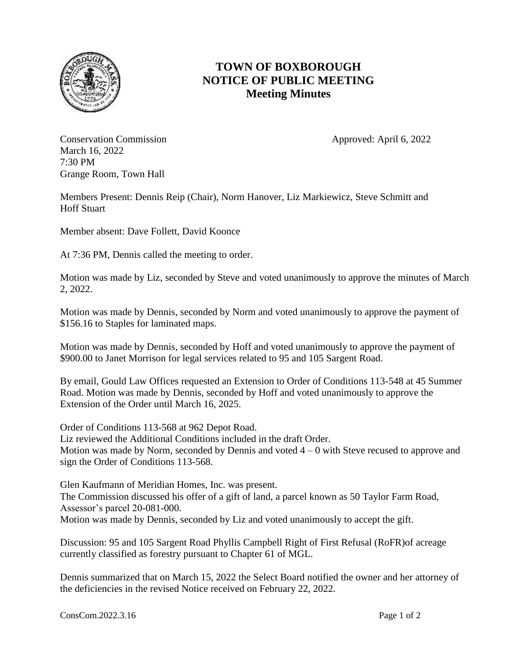

## **TOWN OF BOXBOROUGH NOTICE OF PUBLIC MEETING Meeting Minutes**

Conservation Commission **Approved:** April 6, 2022 March 16, 2022 7:30 PM Grange Room, Town Hall

Members Present: Dennis Reip (Chair), Norm Hanover, Liz Markiewicz, Steve Schmitt and Hoff Stuart

Member absent: Dave Follett, David Koonce

At 7:36 PM, Dennis called the meeting to order.

Motion was made by Liz, seconded by Steve and voted unanimously to approve the minutes of March 2, 2022.

Motion was made by Dennis, seconded by Norm and voted unanimously to approve the payment of \$156.16 to Staples for laminated maps.

Motion was made by Dennis, seconded by Hoff and voted unanimously to approve the payment of \$900.00 to Janet Morrison for legal services related to 95 and 105 Sargent Road.

By email, Gould Law Offices requested an Extension to Order of Conditions 113-548 at 45 Summer Road. Motion was made by Dennis, seconded by Hoff and voted unanimously to approve the Extension of the Order until March 16, 2025.

Order of Conditions 113-568 at 962 Depot Road. Liz reviewed the Additional Conditions included in the draft Order. Motion was made by Norm, seconded by Dennis and voted  $4 - 0$  with Steve recused to approve and sign the Order of Conditions 113-568.

Glen Kaufmann of Meridian Homes, Inc. was present. The Commission discussed his offer of a gift of land, a parcel known as 50 Taylor Farm Road, Assessor's parcel 20-081-000. Motion was made by Dennis, seconded by Liz and voted unanimously to accept the gift.

Discussion: 95 and 105 Sargent Road Phyllis Campbell Right of First Refusal (RoFR)of acreage currently classified as forestry pursuant to Chapter 61 of MGL.

Dennis summarized that on March 15, 2022 the Select Board notified the owner and her attorney of the deficiencies in the revised Notice received on February 22, 2022.